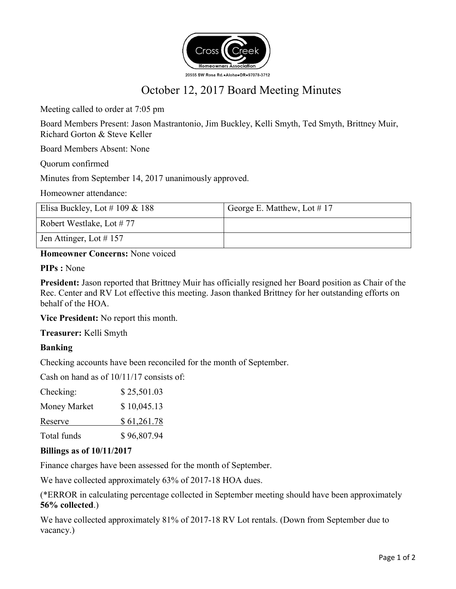

# October 12, 2017 Board Meeting Minutes

Meeting called to order at 7:05 pm

Board Members Present: Jason Mastrantonio, Jim Buckley, Kelli Smyth, Ted Smyth, Brittney Muir, Richard Gorton & Steve Keller

Board Members Absent: None

Quorum confirmed

Minutes from September 14, 2017 unanimously approved.

Homeowner attendance:

| Elisa Buckley, Lot # 109 & 188 | George E. Matthew, Lot $\#$ 17 |
|--------------------------------|--------------------------------|
| Robert Westlake, Lot #77       |                                |
| Jen Attinger, Lot $\#$ 157     |                                |

**Homeowner Concerns:** None voiced

**PIPs :** None

**President:** Jason reported that Brittney Muir has officially resigned her Board position as Chair of the Rec. Center and RV Lot effective this meeting. Jason thanked Brittney for her outstanding efforts on behalf of the HOA.

**Vice President:** No report this month.

**Treasurer:** Kelli Smyth

# **Banking**

Checking accounts have been reconciled for the month of September.

Cash on hand as of 10/11/17 consists of:

| Checking:    | \$25,501.03 |
|--------------|-------------|
| Money Market | \$10,045.13 |
| Reserve      | \$61,261.78 |
| Total funds  | \$96,807.94 |

## **Billings as of 10/11/2017**

Finance charges have been assessed for the month of September.

We have collected approximately 63% of 2017-18 HOA dues.

(\*ERROR in calculating percentage collected in September meeting should have been approximately **56% collected**.)

We have collected approximately 81% of 2017-18 RV Lot rentals. (Down from September due to vacancy.)